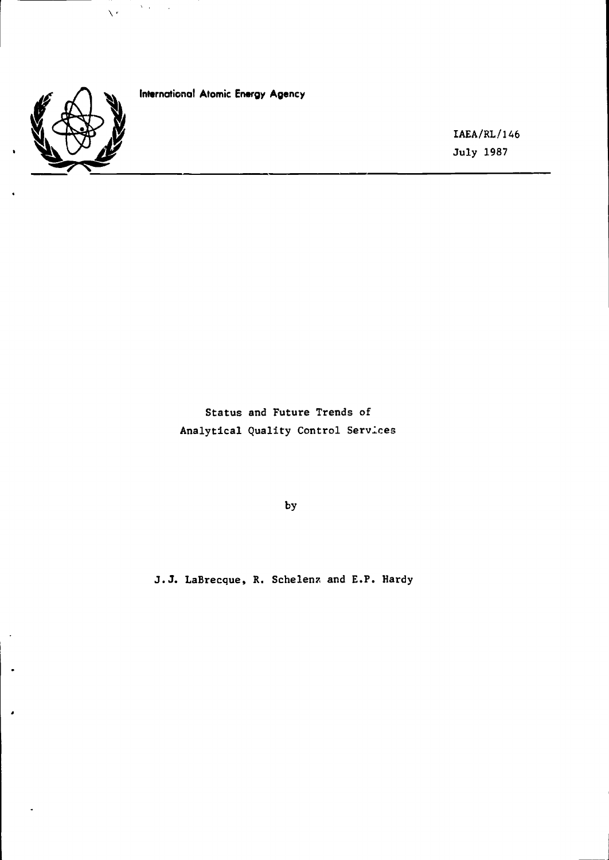

 $\bullet$ 

 $\bullet$ 

**International Atomic Energy Agency**

 $\sim 200$  km s  $^{-1}$  k.

 $\bar{\nabla}^2$ 

**IAEA/RL/146 July 1987**

**Status and Future Trends of Analytical Quality Control Services**

**by**

**J.J. LaBrecque, R. Schelenz and E.F. Hardy**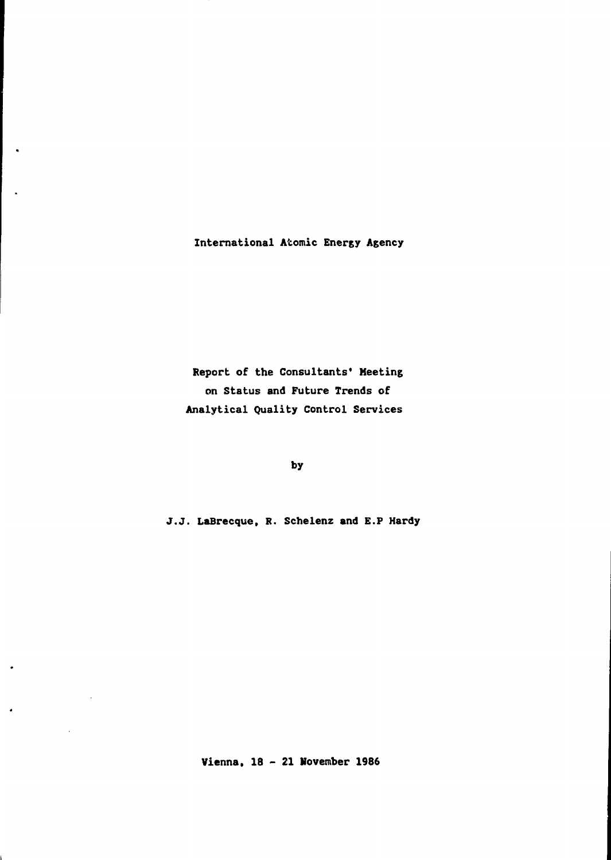**International Atomic Energy Agency**

**Report of the Consultants' Meeting on Status and Future Trends of Analytical Quality Control Services**

**by**

**J.J. LaBrecque, R. Schelenz and E.P Hardy**

**Vienna, 18 - 21 November 1986**

 $\ddot{\phantom{0}}$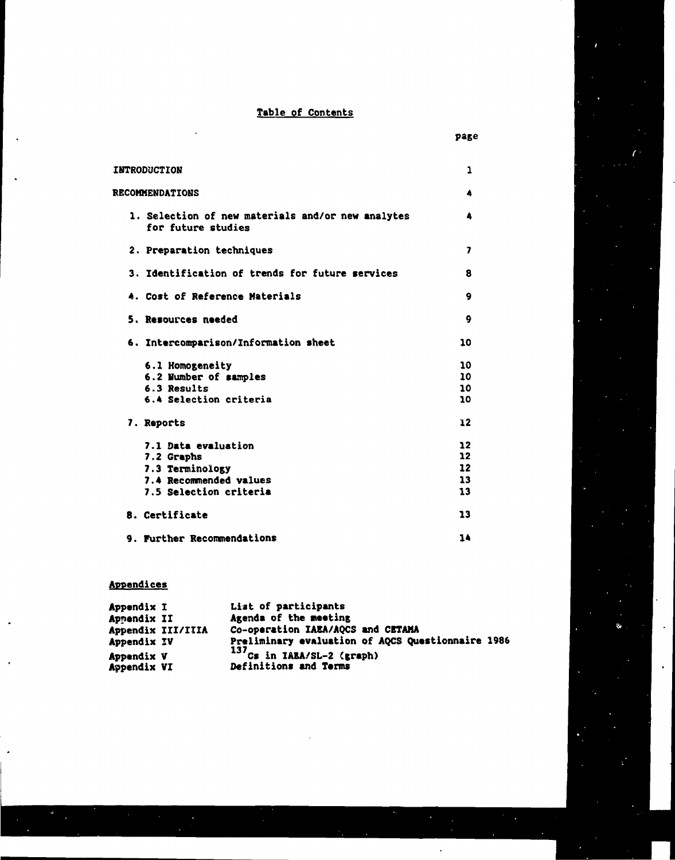## **Table of Contents**

**page**

| <b>INTRODUCTION</b>            |                                                   | 1               |
|--------------------------------|---------------------------------------------------|-----------------|
| <b>RECOMMENDATIONS</b>         |                                                   | 4               |
| for future studies             | 1. Selection of new materials and/or new analytes | 4               |
| 2. Preparation techniques      |                                                   | 7               |
|                                | 3. Identification of trends for future services   | 8               |
| 4. Cost of Reference Materials |                                                   | 9               |
| 5. Resources needed            |                                                   | 9               |
|                                | 6. Intercomparison/Information sheet              | 10              |
| 6.1 Homogeneity                |                                                   | 10              |
| 6.2 Number of samples          |                                                   | 10              |
| 6.3 Results                    |                                                   | 10              |
| 6.4 Selection criteria         |                                                   | 10              |
| 7. Reports                     |                                                   | 12              |
| 7.1 Data evaluation            |                                                   | 12              |
| 7.2 Graphs                     |                                                   | 12 <sub>2</sub> |
| 7.3 Terminology                |                                                   | 12              |
| 7.4 Recommended values         |                                                   | 13              |
| 7.5 Selection criteria         |                                                   | 13              |
| 8. Certificate                 |                                                   | 13              |
| 9. Further Recommendations     |                                                   | 14              |

# **Appendices**

| Appendix I        | List of participants                              |
|-------------------|---------------------------------------------------|
| Appendix II       | Agenda of the meeting                             |
| Appendix III/IIIA | Co-operation IAEA/AQCS and CETAMA                 |
| Appendix IV       | Preliminary evaluation of AQCS Questionnaire 1986 |
| <b>Appendix V</b> | $137$ Cs in IABA/SL-2 (graph)                     |
| Appendix VI       | Definitions and Terms                             |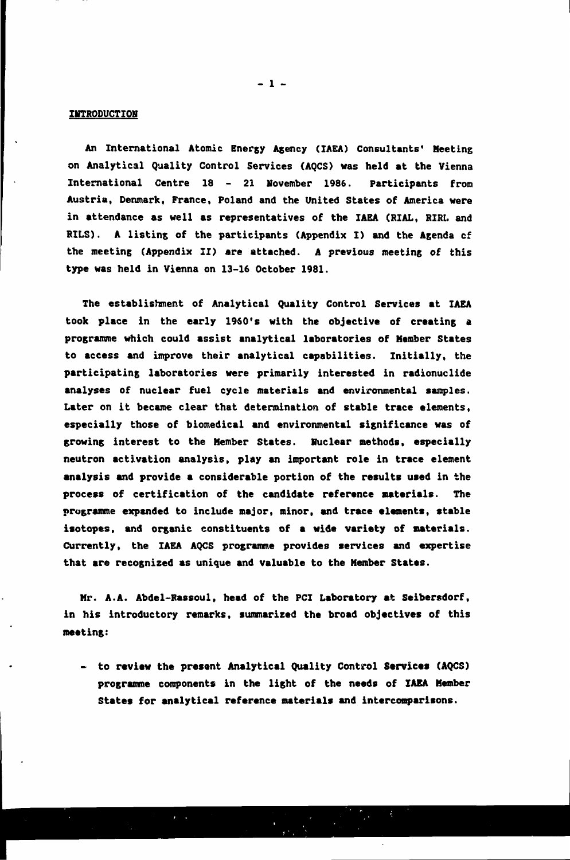#### **IITTRODUCTIOH**

**An International Atomic Energy Agency (IAEA) Consultants' Meeting on Analytical Quality Control Services (AQCS) was held at the Vienna International Centre 18 - 21 November 1986. Participants from Austria, Denmark, France, Poland and the United States of America were in attendance as well as representatives of the IAEA (RIAL, RIRL and RILS). A listing, of the participants (Appendix I) and the Agenda cf the meeting (Appendix II) are attached. A previous meeting of this type was held in Vienna on 13-16 October 1981.**

**The establishment of Analytical Quality Control Services at IAEA took place in the early 1960's with the objective of creating a programme which could assist analytical laboratories of Member States to access and improve their analytical capabilities. Initially, the participating laboratories were primarily interested in radionuclide analyses of nuclear fuel cycle materials and environmental samples. Later on it became clear that determination of stable trace elements, especially those of biomedical and environmental significance was of growing interest to the Member States. Huclear methods, especially neutron activation analysis, play an important role in trace element analysis and provide a considerable portion of the results used in the process of certification of the candidate reference aaterials. The programme expanded to include major, minor, and trace •laments, stable isotopes, and organic constituents of a wide variety of materials. Currently, the IAEA AQCS programme provides services and expertise that are recognized as unique and valuable to the Member States.**

**Mr. A.A. Abdel-Rassoul, head of the PCI Laboratory at Seibersdorf, in his introductory remarks, summarized the broad objectives of this meeting:**

**- to review the present Analytical Quality Control Services (AQCS) programme components in the light of the needs of IAEA Member States for analytical reference materials and interconparisons.**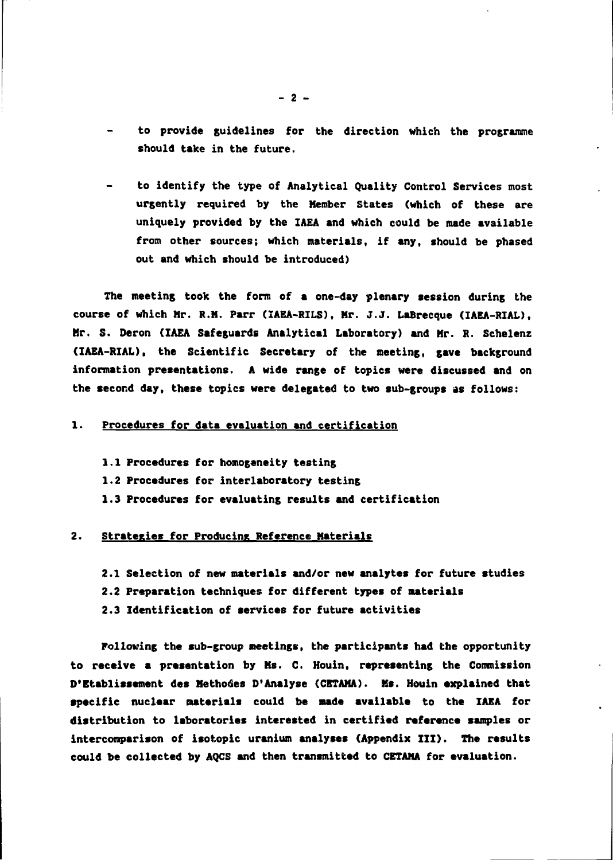- **to provide guidelines for the direction which the programme should take in the future.**
- **to identify the type of Analytical Quality Control Services most urgently required by the Member States (which of these are uniquely provided by the IAEA and which could be made available from other sources; which materials, if any, should be phased out and which should be introduced)**

**The meeting took the form of a one-day plenary session during the course of which Mr. R.M. Parr (IAEA-RILS), Mr. J.J. LaBrecque (IAEA-RIAL), Mr. S. Deron (IAEA Safeguards Analytical Laboratory) and Mr. R. Schelenz (IAEA-RIAL), the Scientific Secretary of the meeting, gave background information presentations. A wide range of topics were discussed and on the second day, these topics were delegated to two sub-groups as follows:**

#### **1. Procedures for data evaluation and certification**

- **1.1 Procedures for homogeneity testing 1.2 Procedures for interlaboratory testing**
- **1.3 Procedures for evaluating results and certification**

#### **2. Strategies for Producing Reference Materials**

- **2.1 Selection of new materials and/or new analytes for future studies**
- **2.2 Preparation techniques for different types of materials**
- **2.3 Identification of services for future activities**

**Following the sub-group meetings, the participants had the opportunity to receive a presentation by Ms. C. Houin, representing the Commission D'Etablissement des Methoties D'Analyse (CETAMA). Ms. Houin explained that specific nuclear materials could be made available to the IAEA for distribution to laboratories interested In certified reference samples or intercomparison of isotopic uranium analyses (Appendix III). The results could be collected by AQCS and then transmitted to CETAMA for evaluation.**

 $\bullet$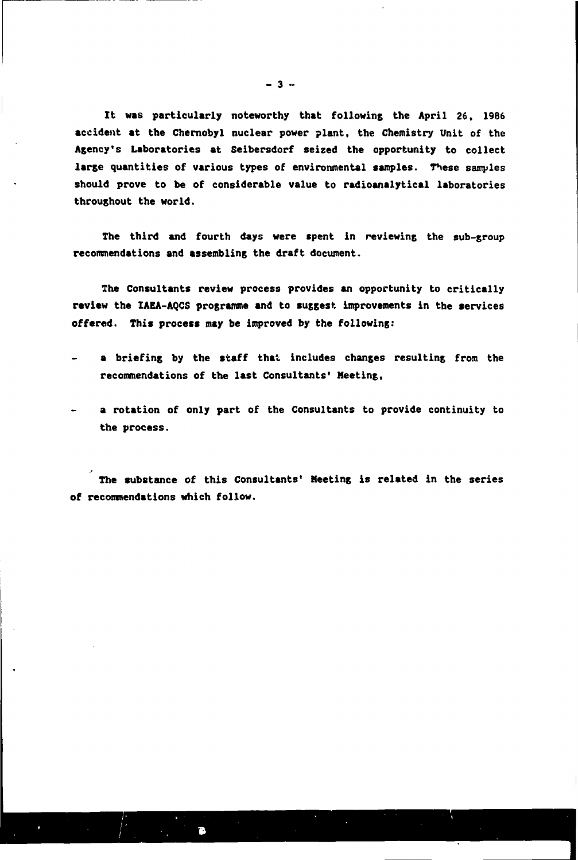**It was particularly noteworthy that following the April 26, 1986 accident at the Chernobyl nuclear power plant, the Chemistry Unit of the Agency's Laboratories at Seibersdorf seized the opportunity to collect large quantities of various types of environmental samples. Tiese samples should prove to be of considerable value to radioanalytical laboratories throughout the world.**

**The third and fourth days were spent in reviewing the sub-group recommendations and assembling the draft document.**

**The Consultants review process provides an opportunity to critically review the XAEA-AQCS programme and to suggest improvements in the services offered. This process may be improved by the following:**

- **a briefing by the staff that includes changes resulting from the recommendations of the last Consultants' Meeting,**
- **a rotation of only part of the Consultants to provide continuity to the process.**

**The substance of this Consultants' Meeting is related in the series of recommendations which follow.**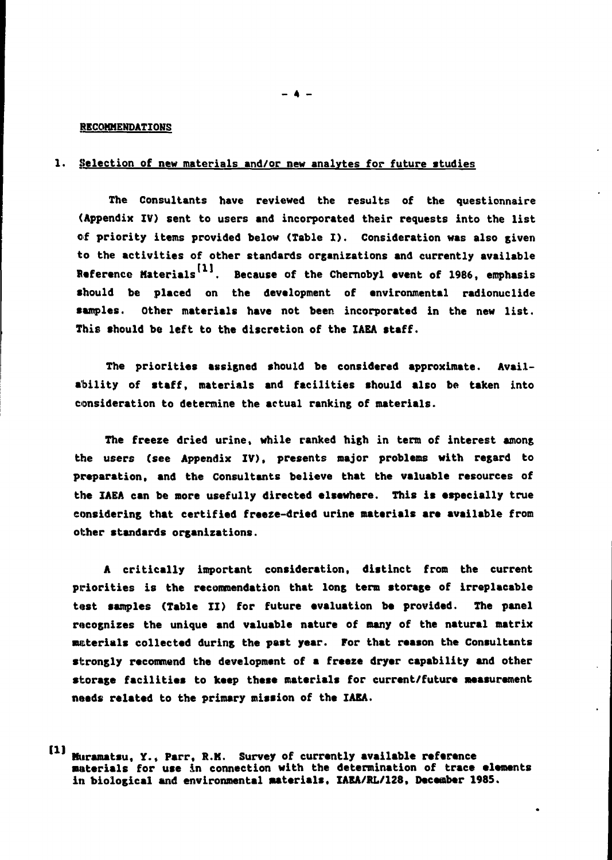#### **RECOMMENDATIONS**

#### **1. Selection of new materials and/or new analytes for future studies**

**The Consultants have reviewed the results of the questionnaire (Appendix IV) sent to users and incorporated their requests into the list of priority items provided below (Table I). Consideration was also given to the activities of other standards organizations and currently available** Reference Materials<sup>[1]</sup>. Because of the Chernobyl event of 1986, emphasis **should be placed on the development of environmental radionuclide samples. Other materials have not been incorporated in the new list. This should be left to the discretion of the IAEA staff.**

**The priorities assigned should be considered approximate. Availability of staff, materials and facilities should also be taken into consideration to determine the actual ranking of materials.**

**The freeze dried urine, while ranked high in term of interest among the users (see Appendix IV), presents major problems with regard to preparation, and the Consultants believe that the valuable resources of the IAEA can be more usefully directed elsewhere. This Is especially true considering that certified freeze-dried urine materials are available from other standards organizations.**

**A critically important consideration, distinct from the current** priorities is the recommendation that long term storage of irreplacable **tost samples (Table II) for future evaluation be provided. The panel recognizes the unique and valuable nature of many of the natural matrix materials collected during the past year. For that reason the Consultants strongly recommend the development of a freeze dryer capability and other storage facilities to keep these materials for current/future measurement needs related to the primary mission of the IAEA.**

 $\Xi$ **Huramatsu, Y., Parr, R.K. Survey of currently available reference materials for use in connection with the determination of trace elements in biological and environmental materials, IAEA/RL/128, December 1985.**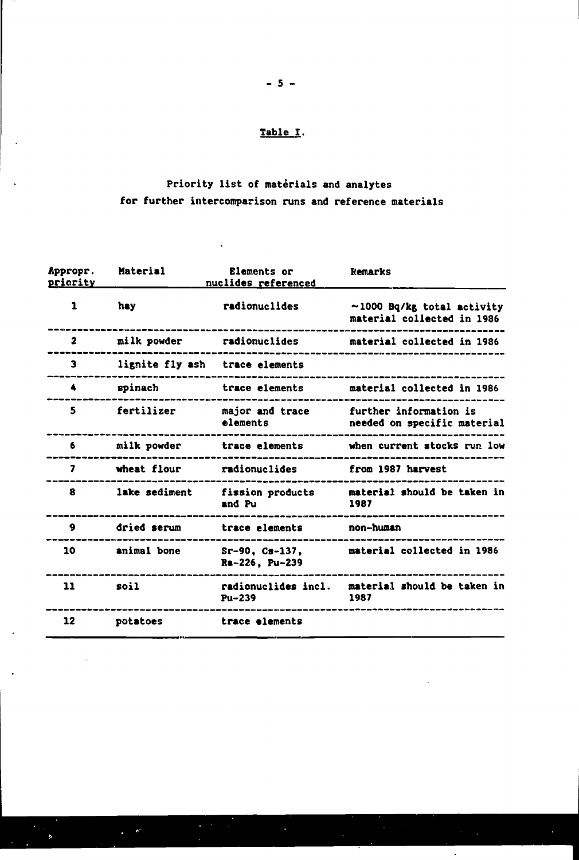# **Table I.**

# **Priority list of materials and analytes for further intercomparison runs and reference materials**

 $\ddot{\phantom{a}}$ 

| Appropr.<br>priority | Material        | Elements or<br>nuclides referenced | Remarks                                                        |
|----------------------|-----------------|------------------------------------|----------------------------------------------------------------|
| 1                    | hay             | radionuclides                      | $\sim$ 1000 Bq/kg total activity<br>material collected in 1986 |
| $\mathbf{2}$         | milk powder     | radionuclides                      | material collected in 1986                                     |
| 3                    | lignite fly ash | trace elements                     |                                                                |
| 4                    | spinach         | trace elements                     | material collected in 1986                                     |
| 5                    | fertilizer      | major and trace<br>elements        | further information is<br>needed on specific material          |
| 6                    | milk powder     | trace elements                     | when current stocks run low                                    |
| 7                    | wheat flour     | radionuclides                      | from 1987 harvest                                              |
| 8                    | lake sediment   | fission products<br>and Pu         | material should be taken in<br>1987                            |
| 9                    | dried serum     | trace elements                     | non-human                                                      |
| 10                   | animal bone     | $Sr-90, Cs-137.$<br>Ra-226. Pu-239 | material collected in 1986                                     |
| 11                   | soil            | radionuclides incl.<br>Pu-239      | material should be taken in<br>1987                            |
| 12                   | potatoes        | trace elements                     |                                                                |

 $\mathbb{R}^d$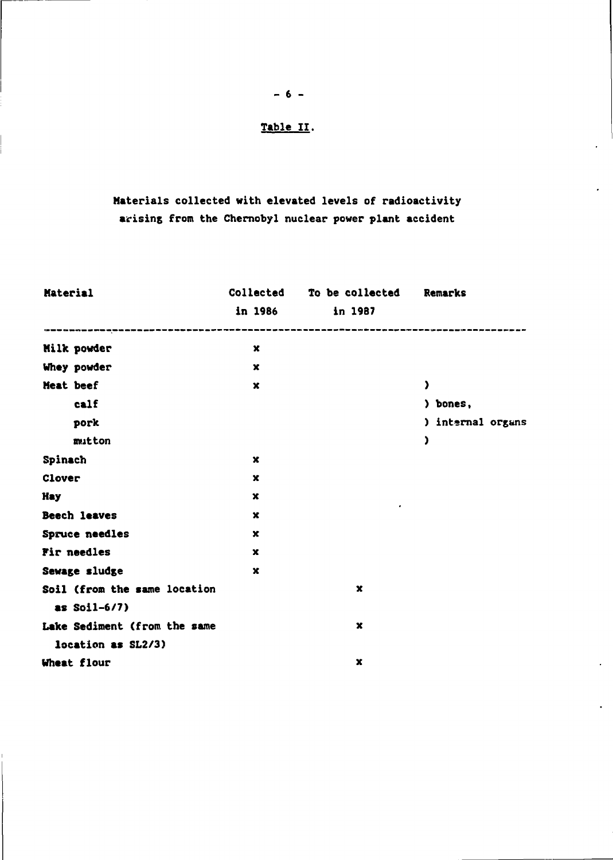## **Table II.**

 $- 6 -$ 

# **Materials collected with elevated levels of radioactivity arising from the Chernobyl nuclear power plant accident**

| <b>Material</b>              | Collected   | To be collected | Remarks           |
|------------------------------|-------------|-----------------|-------------------|
|                              | in 1986     | in 1987         |                   |
| Milk powder                  | $\mathbf x$ |                 |                   |
| Whey powder                  | $\mathbf x$ |                 |                   |
| <b>Neat beef</b>             | x           |                 | J.                |
| calf                         |             |                 | ) bones,          |
| pork                         |             |                 | ) internal organs |
| mutton                       |             |                 | <sup>)</sup>      |
| Spinach                      | $\mathbf x$ |                 |                   |
| Clover                       | $\mathbf x$ |                 |                   |
| <b>Hay</b>                   | $\mathbf x$ | ٠               |                   |
| Beech leaves                 | x           |                 |                   |
| Spruce needles               | x           |                 |                   |
| Fir needles                  | x           |                 |                   |
| Sewage sludge                | x           |                 |                   |
| Soil (from the same location |             | $\mathbf x$     |                   |
| as $Soil-6/7)$               |             |                 |                   |
| Lake Sediment (from the same |             | $\mathbf x$     |                   |
| location as SL2/3)           |             |                 |                   |
| Wheat flour                  |             | x               |                   |

 $\ddot{\phantom{a}}$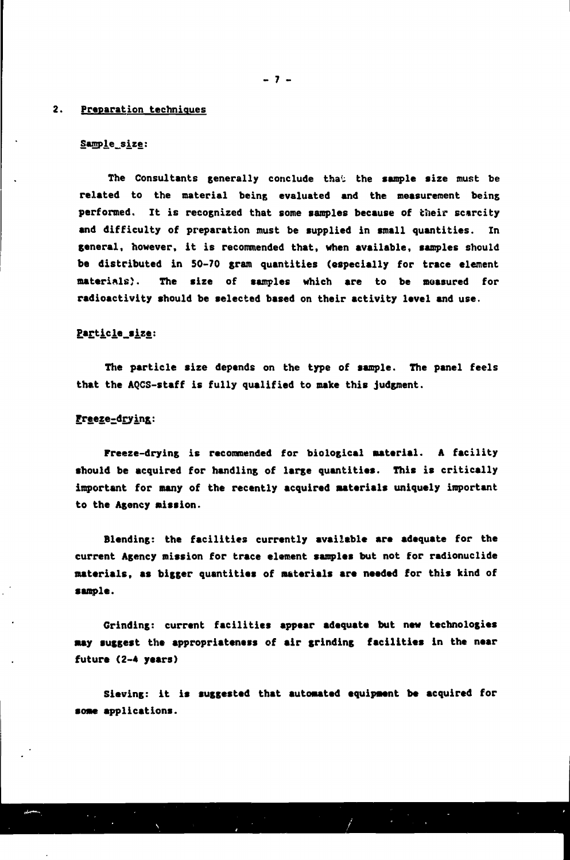#### **2. Preparation techniques**

#### Sample\_size:

The Consultants generally conclude that the sample size must be **related to the material being evaluated and the measurement being performed. It is recognized that some samples because of their scarcity and difficulty of preparation must be supplied in small quantities. In general, however, it is recommended that, when available, samples should be distributed in 50-70 gram quantities (especially for trace element materials}. The size of samples which are to be measured for radioactivity should be selected based on their activity level and use.**

## Particle\_size:

**The particle size depends on the type of sample. The panel feels that the AQCS-staff is fully qualified to make this judgment.**

## **Preeze-drying:**

**Freeze-drying is recommended for biological material. A facility should be acquired for handling of large quantities. This is critically important for many of the recently acquired materials uniquely important to the Agency mission.**

**Blending: the facilities currently available are adequate for the current Agency mission for trace element samples but not for radionuclide materials, as bigger quantities of materials are needed for this kind of sample.**

**Grinding: current facilities appear adequate but new technologies may suggest the appropriateness of air grinding facilities in the near future (2-4 years)**

**Sieving: it is suggested that automated equipment be acquired for some applications.**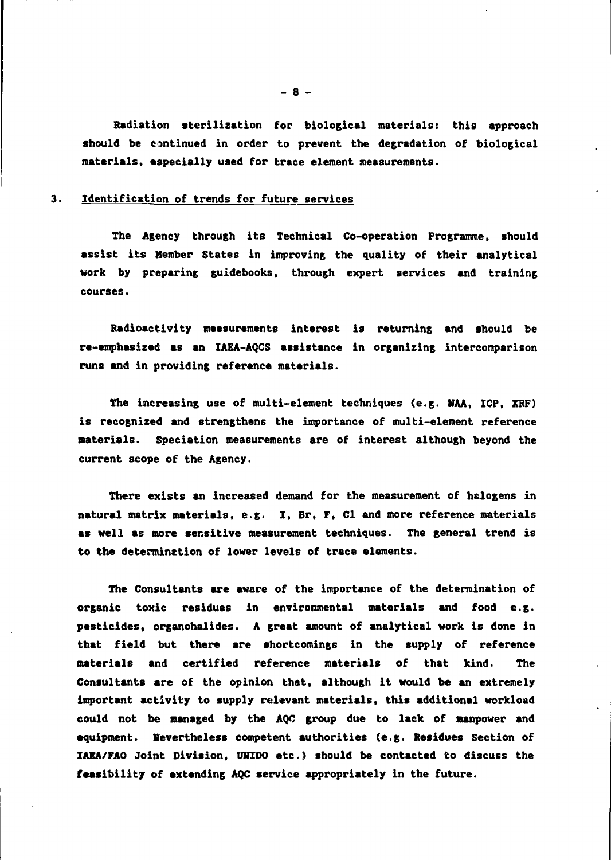**Radiation sterilization for biological materials: this approach should be continued in order to prevent the degradation of biological materials, especially used for trace element measurements.**

#### **3. Identification of trends for future services**

**The Agency through its Technical Co-operation Programme, should assist its Member States in improving the quality of their analytical work by preparing guidebooks, through expert services and training courses.**

**Radioactivity measurements interest is returning and should be re-emphasized as an IAEA-AQCS assistance in organizing intercomparison runs and in providing reference materials.**

**The increasing use of multi-element techniques (e.g. VAA, ICP, XRF) is recognized and strengthens the importance of multi-element reference materials. Speciation measurements are of interest although beyond the current scope of the Agency.**

**There exists an increased demand for the measurement of halogens in natural matrix materials, e.g. I, Br, F, Cl and more reference materials as well as more sensitive measurement techniques. The general trend is to the determination of lower levels of trace elements.**

**The Consultants are aware of the importance of the determination of organic toxic residues in environmental materials and food e.g. pesticides, organohalides. A great amount of analytical work is done in that field but there are shortcomings in the supply of reference materials and certified reference materials of that kind. The Consultants are of the opinion that, although it would be an extremely important activity to supply relevant materials, this additional workload could not be managed by the AQC group due to lack of manpower and equipment. Nevertheless competent authorities (e.g. Residues Section of IAEA/FAO Joint Division, UWIDO etc.) should be contacted to discuss the feasibility of extending AQC service appropriately in the future.**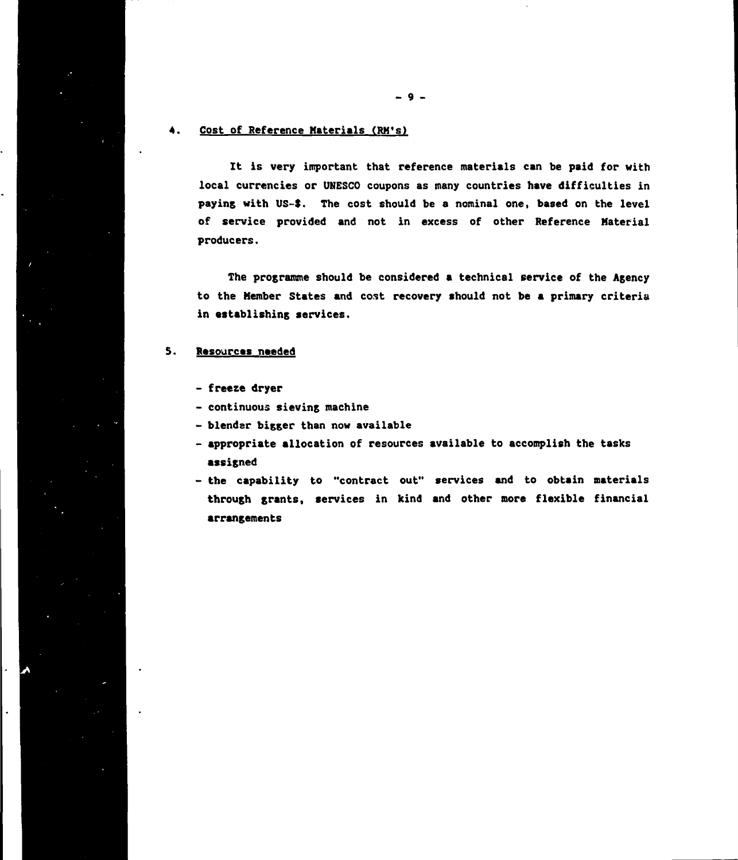## **4. Cost of Reference Materials (RM's)**

**It is very important that reference materials can be paid for with local currencies or UNESCO coupons as many countries have difficulties in pay ins with US-\$. The cost should be a nominal one, based on the level of service provided and not in excess of other Reference Material producers.**

**The programme should be considered a technical service of the Agency to the Member States and cost recovery should not be a primary criteria in establishing services.**

#### **5. Resources needed**

- **freeze dryer**
- **continuous sieving machine**
- **blender bigger than now available**
- **appropriate allocation of resources available to accomplish the tasks assigned**
- **the capability to "contract out" services and to obtain materials through grants, services in kind and other more flexible financial arrangements**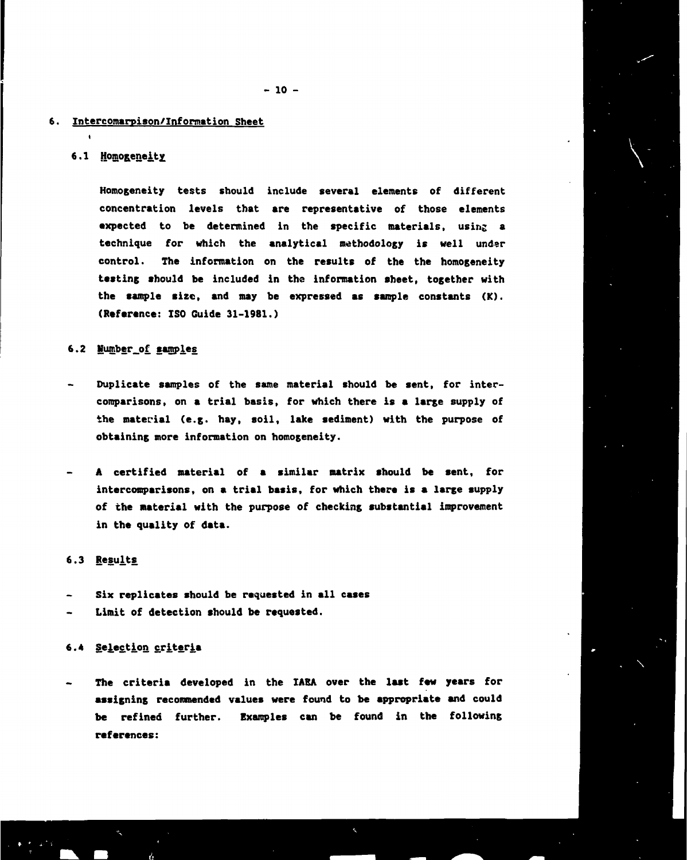#### **6. Intercomarpison/Information Sheet**

#### **6.1 Homogeneity**

**Homogeneity tests should include several elements of different concentration levels that are representative of those elements expected to be determined in the specific materials, using a technique for which the analytical methodology is well under control. The information on the results of the the homogeneity testing should be included in the information sheet, together with the sample size, and may be expressed as sample constants (K). (Reference: ISO Guide 31-1981.)**

#### **6.2 Humber\_of. samples**

- **Duplicate samples of the same material should be sent, for intercomparisons, on a trial basis, for which there is a large supply of the material (e.g. hay, soil, lake sediment) with the purpose of obtaining more information on homogeneity.**
- **A certified material of a similar matrix should be sent, for intercomparisons, on a trial basis, for which there is a large supply of the material with the purpose of checking substantial improvement in the quality of data.**

#### **6.3 Results**

- **Six replicates should be requested in all cases**
- **Limit of detection should be requested.**

#### **6.4 Selection criteria**

**The criteria developed in the IAEA over the last few years for assigning recommended values were found to be appropriate and could be refined further. Examples can be found in the following references:**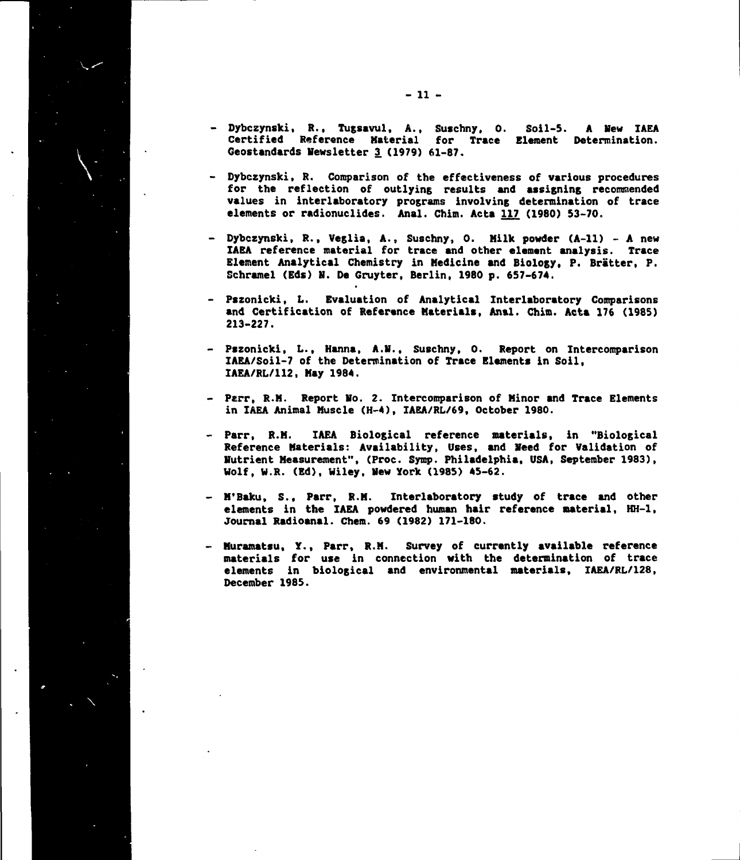- **Dybczynski, R., Tugsavul, A., Suschny, 0. Soil-5. A Mew IAEA Certified Reference Material for Trace Element Determination. Geostandards Newsletter 3 (1979) 61-87.**
- **Dybczynski, R. Comparison of the effectiveness of various procedures for the reflection of outlying results and assigning recommended values in interlaboratory programs involving determination of trace elements or radionuclides. Anal. Chim. Acta 117. (1980) 53-70.**
- **Dybczynski, R., Veglia, A., Suschny, 0. Milk powder (A-ll) A new IAEA reference material for trace and other element analysis. Trace Element Analytical Chemistry in Medicine and Biology, P. Bratter, P. Schramel (Eds) N. Da Gruyter, Berlin, 1980 p. 657-674.**
- **Pszonicki, L. Evaluation of Analytical Interlaboratory Comparisons and Certification of Reference Materials, Anal. Chim. Acta 176 (1985) 213-227.**
- **Pszonicki, L., Hanna, A.M., Suschny, 0. Report on Intercomparison IAEA/Soil-7 of the Determination of Trace Elements in Soil, IAEA/RL/112, May 1984.**
- **Parr, R.M. Report No. 2. Intercomparison of Minor and Trace Elements in IAEA Animal Muscle (H-4), IAEA/RL/69, October 1980.**
- **Parr, R.M. IAEA Biological reference materials, in "Biological Reference Materials: Availability, Uses, and Need for Validation of Nutrient Measurement", (Proc. Symp. Philadelphia, USA, September 1983), Wolf, W.R. (Ed), Wiley, New York (1985) 45-62.**
- **M'Baku, S., Parr, R.M. Interlaboratory study of trace and other elements in the IAEA powdered human hair reference material, HH-1, Journal Radioanal. Chem. 69 (1982) 171-180.**
- **Muramatsu, Y., Parr, R.H. Survey of currently available reference materials for use in connection with the determination of trace elements in biological and environmental materials, IAEA/RL/128, December 1985.**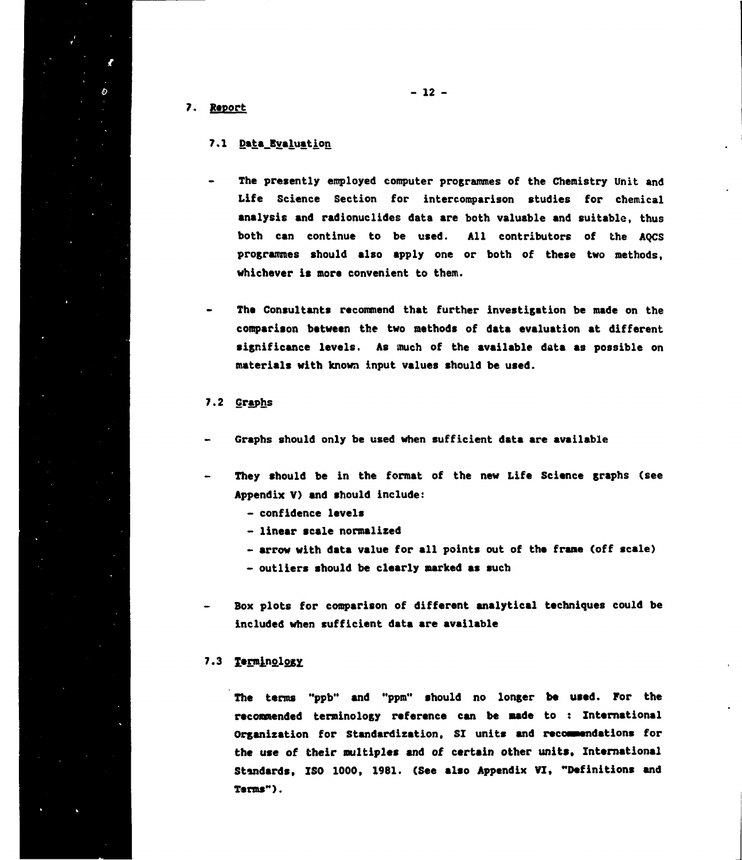**7. Report**

Ĉ.

#### **7.1 Data\_Evaluation**

- **The presently employed computer programmes of the Chemistry Unit and Life Science Section for intercomparison studies for chemical analysis and radionuclides data are both valuable and suitable, thus both can continue to be used. All contributors of the AQCS programmes should also apply one or both of these two methods, whichever is more convenient to them.**
- **Tha Consultants recommend that further investigation be made on the comparison between the two methods of data evaluation at different significance levels. As much of the available data as possible on materials with known input values should be used.**

#### **7.2 Graphs**

- **Graphs should only be used when sufficient data are available**
- **They should be in the format of the new Life Science graphs (see Appendix V) and should include:**
	- **confidence levels**
	- **linear scale normalized**
	- **arrow with data value for all points out of the frame (off scale)**
	- **outliers should be clearly narked as such**
- **Box plots for comparison of different analytical techniques could be included when sufficient data are available**

## **7.3**

**The terms "ppb" and "ppm" should no longer be used. For the recommended terminology reference can be made to : International Organization for Standardization, SI units and recommendations for the use of their multiples and of certain other units. International Standards, ISO 1000, 1981. (See also Appendix VI, "Definitions and Terms").**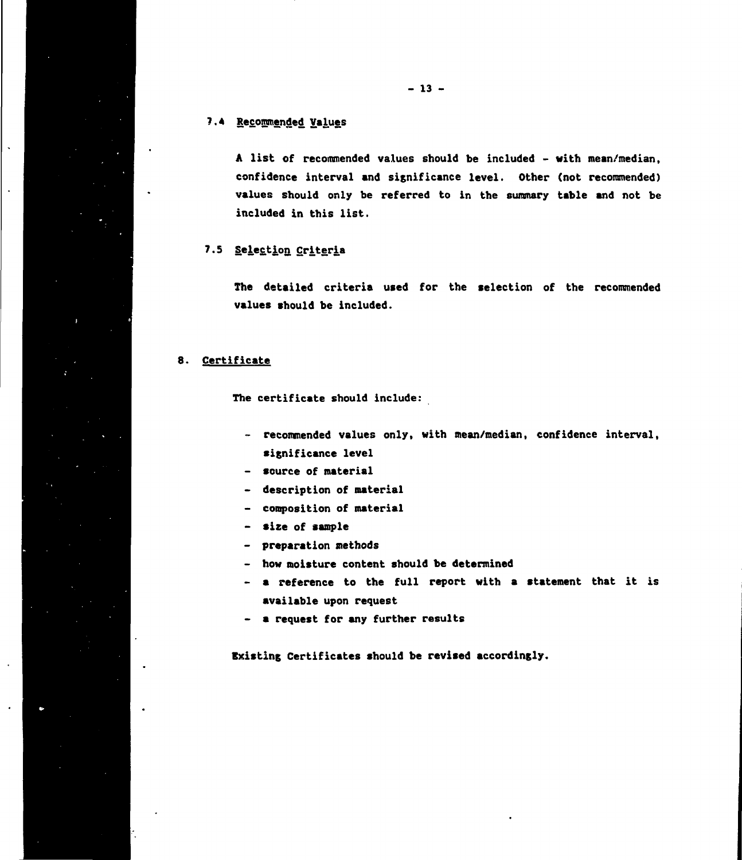**A list of recommended values should be included - with mean/median, confidence interval and significance level. Other (not reconmended) values should only be referred to in the summary table and not be included in this list.**

## **7.5 Selection Criteria**

**The detailed criteria used for the selection of the reconmended values should be included.**

## **8. Certificate**

**The certificate should include:**

- **reconmended values only, with mean/median, confidence interval, significance level**
- **source of material**
- **description of material**
- **composition of material**
- **size of sample**
- **preparation methods**
- **how moisture content should be determined**
- **a reference to the full report with a statement that it is available upon request**
- **a request for any further results**

**Existing Certificates should be revised accordingly.**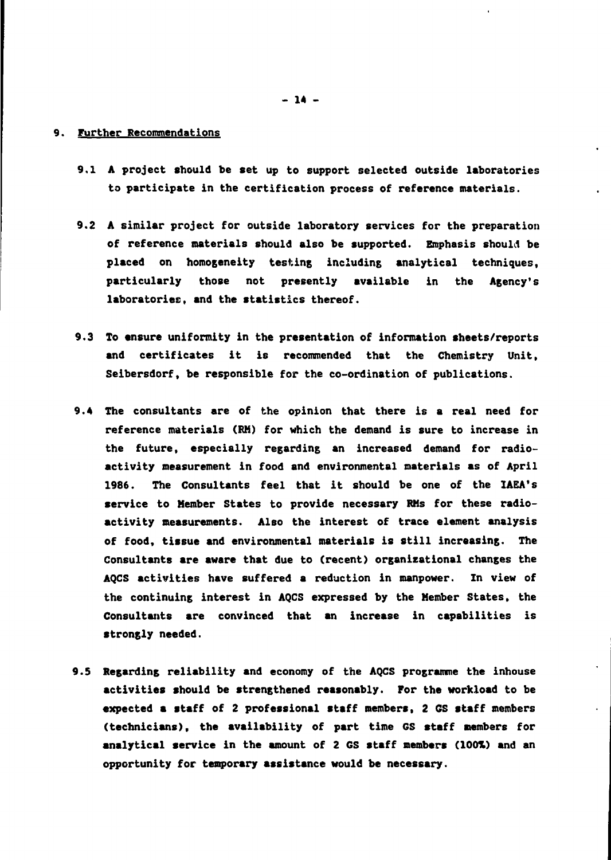#### **9. Further Recommendations**

- **9.1 A project should be set up to support selected outside laboratories to participate in the certification process of reference materials.**
- **9.2 A similar project for outside laboratory services for the preparation of reference materials should also be supported. Emphasis should be placed on homogeneity testing including analytical techniques, particularly those not presently available in the Agency's laboratories, and the statistics thereof.**
- **9.3 To ensure uniformity in the presentation of information sheets/reports and certificates it is recommended that the Chemistry Unit, Seibersdorf, be responsible for the co-ordination of publications.**
- **9.4 The consultants are of the opinion that there is a real need for reference materials (RM) for which the demand is sure to increase in the future, especially regarding an increased demand for radioactivity measurement in food and environmental materials as of April 1986. The Consultants feel that it should be one of the IAEA's service to Member States to provide necessary RMs for these radioactivity measurements. Also the interest of trace element analysis of food, tissue and environmental materials is still increasing. The Consultants are aware that due to (recent) organizational changes the AQCS activities have suffered a reduction in manpower. In view of the continuing interest in AQCS expressed by the Member States, the Consultants are convinced that an increase in capabilities is strongly needed.**
- **9.5 Regarding reliability and economy of the AQCS programme the inhouse activities should be strengthened reasonably. For the workload to be expected a staff of 2 professional staff members, 2 GS staff members (technicians), the availability of part time GS staff members for analytical service in the amount of 2 GS staff members (100%) and an opportunity for temporary assistance would be necessary.**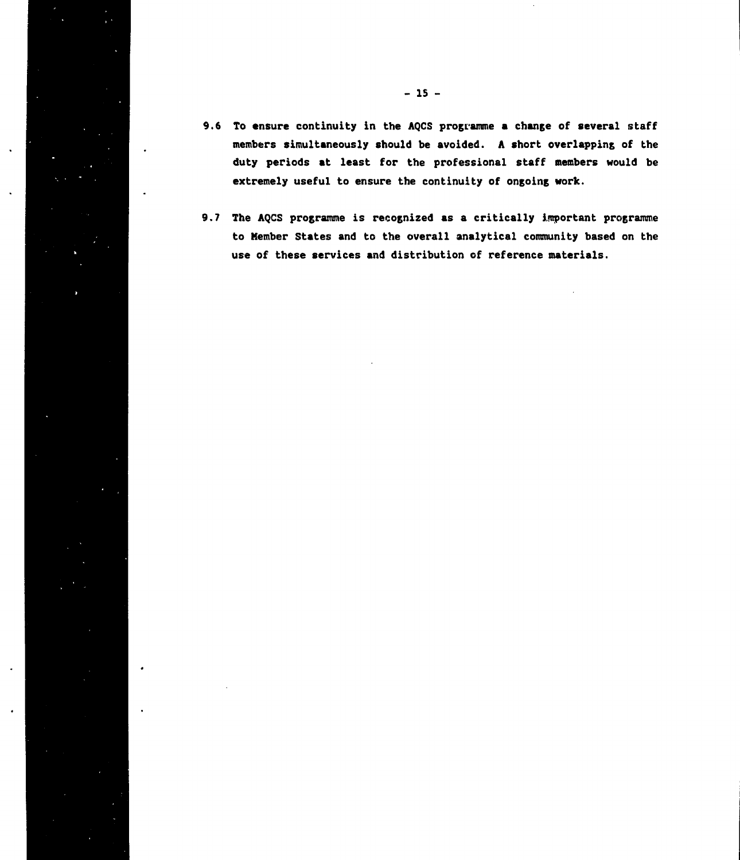- 9.6 To ensure continuity in the AQCS programme a change of several staff **members simultaneously should be avoided. A short overlapping of the duty periods at least for the professional staff members would be extremely useful to ensure the continuity of ongoing work.**
- **9.7 The AQCS programme is recognized as a critically important programme to Member States and to the overall analytical community based on the use of these services and distribution of reference materials.**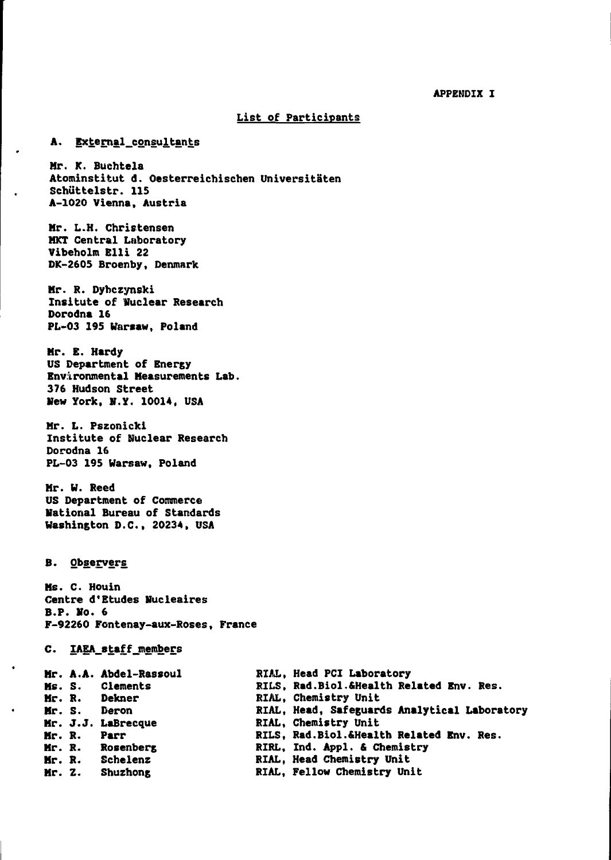#### **APPENDIX I**

#### **List of Participants**

#### **A. External\_consultants**

 $\overline{a}$ 

 $\mathbf{r}$ 

Mr. K. Buchtela **Atominstitut d. Oesterreichischen Universitaten Schuttelstr. 115 A-1020 Vienna, Austria**

**Mr. L.H. Christensen HKT Central Laboratory Vibeholm Elli 22 DK-2605 Broenby, Denmark**

**Mr. R. Dyhczynski Insitute of Wuclear Research Dorodna 16 PL-03 195 Warsaw, Poland**

**Mr. E. Hardy US Department of Energy Environmental Measurements Lab. 376 Hudson Street Hew York, H.Y. 10014, USA**

**Mr. L. Pszonicki Institute of Nuclear Research Dorodna lf> PL-03 195 Warsaw, Poland**

**Mr. W. Reed US Department of Commerce National Bureau of Standards Washington D.C., 20234. USA**

#### **B. Observers.**

 $\bullet$ 

**Ms. C. Houin Centre d<sup>f</sup>Etudes Nucleaires B.P. Ho. 6 F-92260 Fontenay-aux-Roses, France**

#### **C. IAEA\_8taff\_members**

|        | Mr. A.A. Abdel-Rassoul | RIAL, Head PCI Laboratory                    |
|--------|------------------------|----------------------------------------------|
|        | Ms. S. Clements        | RILS, Rad. Biol. & Health Related Env. Res.  |
|        | Mr. R. Dekner          | RIAL. Chemistry Unit                         |
| Mr. S. | Deron                  | RIAL, Head, Safeguards Analytical Laboratory |
|        | Mr. J.J. LaBrecque     | RIAL, Chemistry Unit                         |
| Mr. R. | <b>Parr</b>            | RILS, Rad. Biol. & Health Related Env. Res.  |
|        | Mr. R. Rosenberg       | RIRL, Ind. Appl. & Chemistry                 |
| Mr. R. | Schelenz               | RIAL, Head Chemistry Unit                    |
| Mr. Z. | Shuzhong               | RIAL, Fellow Chemistry Unit                  |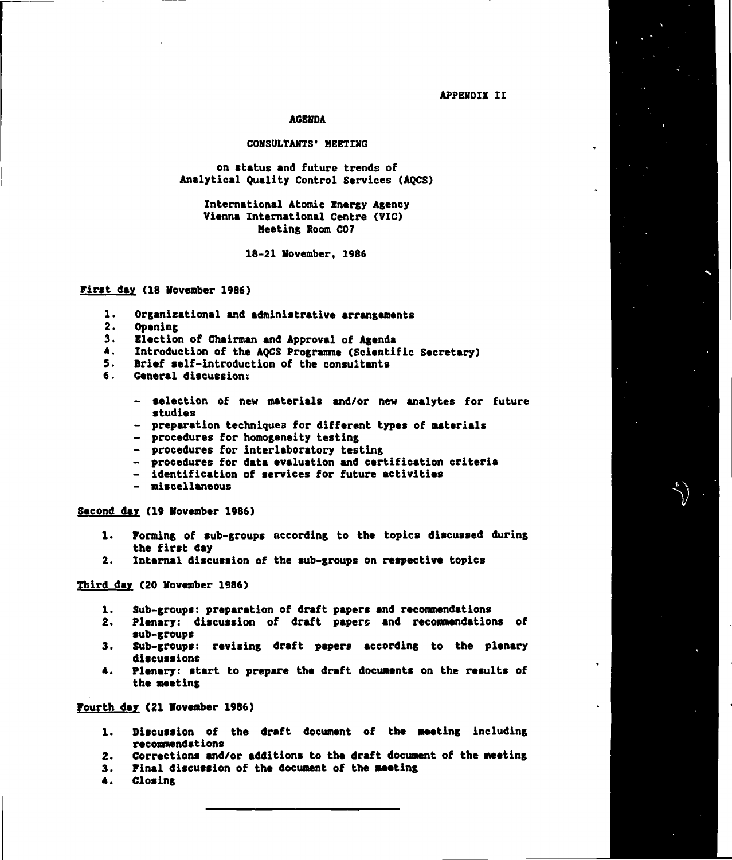**APPENDIX II**

#### **AGENDA**

#### **CONSULTANTS' MEETING**

**on status and future trends of Analytical Quality Control Services (AQCS)**

**International Atomic Energy Agency Vienna International Centre (VIC) Meeting Room CO7**

**18-21 November, 1986**

#### **First day (18 November 1986)**

- **1. Organizational and administrative arrangements**
- **2. Opening**
- **3. Election of Chairman and Approval of Agenda**
- **4. Introduction of the AQCS Programme (Scientific Secretary)**
- **5. Brief self-introduction of the consultants**
- **6. General discussion:**
	- **selection of new materials and/or new analytes for future studies**
	- **preparation techniques for different types of materials**
	- **procedures for homogeneity testing**
	- **procedures for interlaboratory testing**
	- **procedures for data evaluation and certification criteria**
	- **identification of services for future activities**
	- **miscellaneous**

**Second dav (19 November 1986)**

- **1. Forming of sub-groups according to the topics discussed during the first day**
- **2. Internal discussion of the sub-groups on respective topics**

**Third day (20 November 1986)**

- **1. Sub-groups: preparation of draft papers and recommendations**
- **2. Plenary: discussion of draft papers and recommendations of sub-groups**
- **3. Sub-groups: revising draft papers according to the plenary discussions**
- **4. Plenary: start to prepare the draft documents on the results of the meeting**

**Fourth day (21 November 1986)**

- **1. Discussion of the draft document of the Meeting including recommendations**
- **2. Corrections and/or additions to the draft document of the meeting**
- **3. Final discussion of the document of the sweting**
- **4. Closing**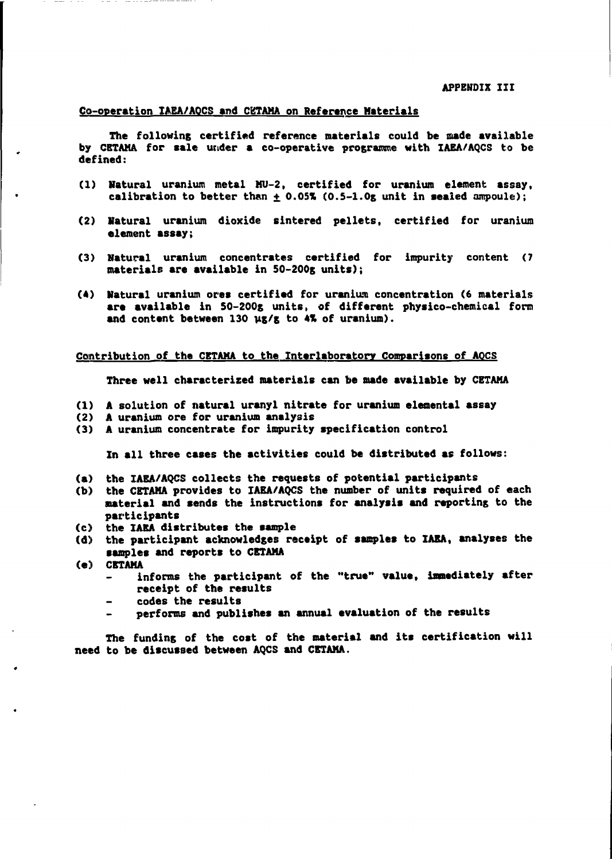#### **Co-operation IAEA/AOCS and CKTAMA on Reference Materials**

**The following certified reference materials could be made available by CETAHA for sale under a co-operative programme with XAEA/AQCS to be defined:**

- **(1) Natural uranium metal MU-2, certified for uranium element assay,** calibration to better than  $\pm$  0.05% (0.5-1.0g unit in sealed ampoule);
- **(2) Natural uranium dioxide sintered pellets, certified for uranium element assay;**
- **(3) Natural uranium concentrates certified for impurity content (7 materials are available in 50-200g units);**
- **(4) Natural uranium ores certified for uranium concentration (6 materials are available in 50-200g units, of different physico-chemical form and content between 130 vg/g to 4% of uranium).**

#### **Contribution of the CETAMA to the Interlaboratory Comparisons of AOCS**

**Three well characterized materials can be made available by CETAMA**

- **(1) A solution of natural uranyl nitrate for uranium elemental assay**
- **(2) A uranium ore for uranium analysis**
- **(3) A uranium concentrate for impurity specification control**

**In all three cases the activities could be distributed as follows:**

- **(a) the IAEA/AQCS collects the requests of potential participants**
- **(b) the CETAMA provides to IAEA/AQCS the number of units required of each aaterial and sends the instructions for analysis and reporting to the participants**
- **(c) the IAEA distributes the sample**
- **(d) the participant acknowledges receipt of samples to IAEA, analyses the samples and reports to CETAMA**
- **(e) CETAMA**
	- **informs the participant of the "true" value, immediately after receipt of the results**
	- **codes the results**
	- **performs and publishes an annual evaluation of the results**

**The funding of the cost of the material and its certification will need to be discussed between AQCS and CETAMA.**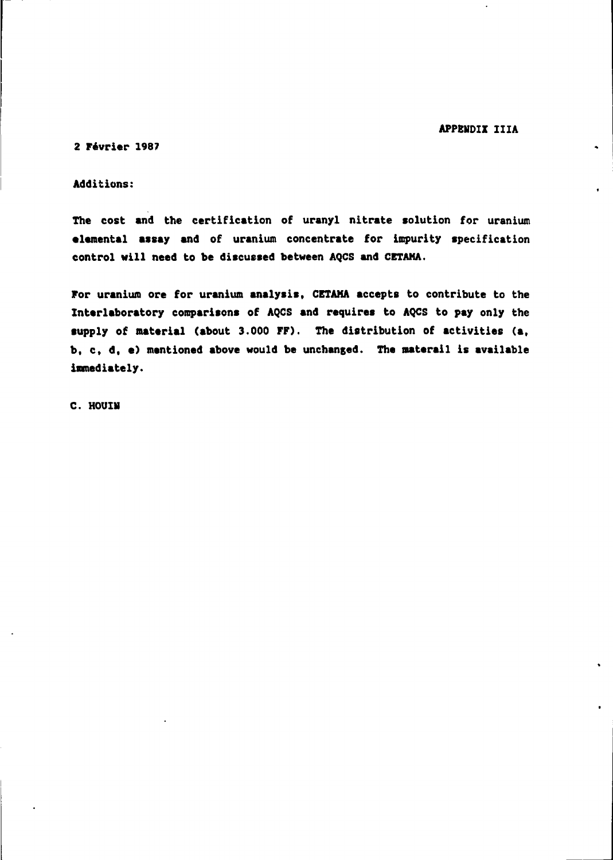**APPENDIX IIIA**

 $\ddot{\phantom{1}}$ 

**2 Fevrier 1987**

**Additions:**

**The cost and the certification of uranyl nitrate solution for uranium elemental assay and of uranium concentrate for impurity specification control will need to be discussed between AQCS and CETAMA.**

**For uranium ore for uranium analysis, CETAMA accepts to contribute to the Interlaboratory comparisons of AQCS and requires to AQCS to pay only the supply of material (about 3.000 FF). The distribution of activities (a, b, c, d, •) mentioned above would be unchanged. The materail is available immediately.**

**C. HOUIN**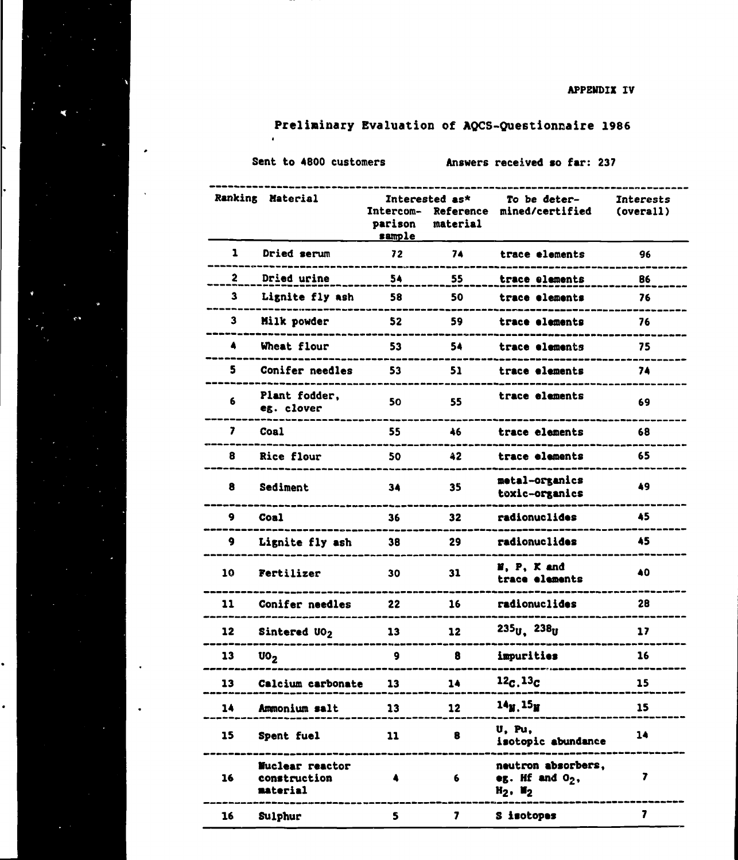# **Preliminary Evaluation of AQCS-Questionnaire 1986**

×

 $\bullet$ 

 $\ddot{\phantom{0}}$ 

Sent to 4800 customers **Answers received so far: 237** 

|             | Ranking Material                            | Intercom-<br>parison<br>sample | Interested as*<br>Reference<br>material | To be deter-<br>mined/certified                                                                 | <b>Interests</b><br>(overall) |
|-------------|---------------------------------------------|--------------------------------|-----------------------------------------|-------------------------------------------------------------------------------------------------|-------------------------------|
| 1           | Dried serum                                 | 72                             | 74                                      | trace elements                                                                                  | 96                            |
| 2           | Dried urine                                 | 54                             | 55                                      | trace elements                                                                                  | 86                            |
| 3           | Lignite fly ash                             | 58                             | 50                                      | trace elements                                                                                  | 76                            |
| $\mathbf 3$ | Milk powder                                 | 52                             | 59                                      | trace elements                                                                                  | 76                            |
| 4           | Wheat flour                                 | 53                             | 54                                      | trace elements                                                                                  | 75                            |
| 5           | Conifer needles                             | 53                             | 51                                      | trace elements                                                                                  | 74                            |
| 6           | Plant fodder,<br>eg. clover                 | 50                             | 55                                      | trace elements                                                                                  | 69                            |
| 7           | Coa1                                        | 55                             | 46                                      | trace elements                                                                                  | 68                            |
| 8           | Rice flour                                  | 50                             | 42                                      | trace elements                                                                                  | 65                            |
| 8           | Sediment                                    | 34                             | 35                                      | metal-organics<br>toxic-organics                                                                | 49                            |
| 9           | Coal                                        | 36                             | 32                                      | radionuclides                                                                                   | 45                            |
| 9           | Lignite fly ash                             | 38                             | 29                                      | radionuclides                                                                                   | 45                            |
| 10          | Fertilizer                                  | 30                             | 31                                      | N, P, K and<br>trace elements                                                                   | 40                            |
| 11          | Conifer needles                             | 22                             | 16                                      | radionuclides                                                                                   | 28                            |
| 12          | Sintered UO2                                | 13                             | 12                                      | $235_{U}$ , $238_{U}$                                                                           | 17                            |
| 13          | $\mathbf{U0}_2$                             | 9                              | 8                                       | impurities                                                                                      | 16                            |
| 13          | Calcium carbonate                           | 13                             | 14                                      | 12c.13c                                                                                         | 15                            |
| 14          | Ammonium salt                               | 13 <sup>7</sup>                | 12                                      | $14M$ , $15M$                                                                                   | 15                            |
| 15          | Spent fuel<br>---------------------------   | 11                             | 8                                       | U, Pu,<br>isotopic abundance                                                                    | 14                            |
| 16          | Nuclear reactor<br>construction<br>material | 4                              | 6                                       | __________________________________<br>neutron absorbers,<br>eg. Hf and $O_2$ ,<br>$H_2$ , $H_2$ | 7<br>-----------              |
| 16          | Sulphur                                     | 5.                             | $\mathbf{z}$                            | S isotopes                                                                                      | 7                             |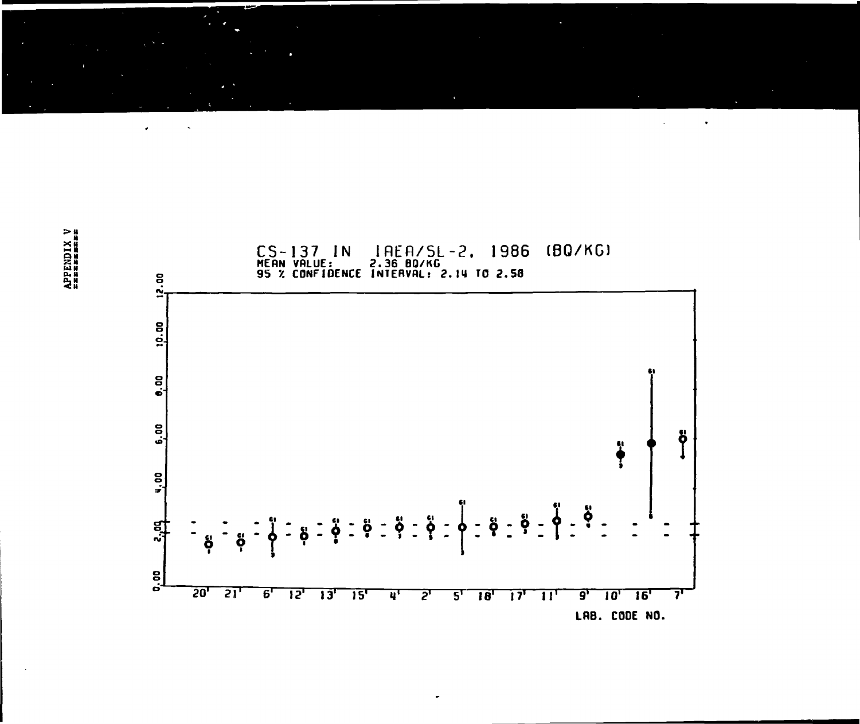**x8 &M**



 $\ddot{\bullet}$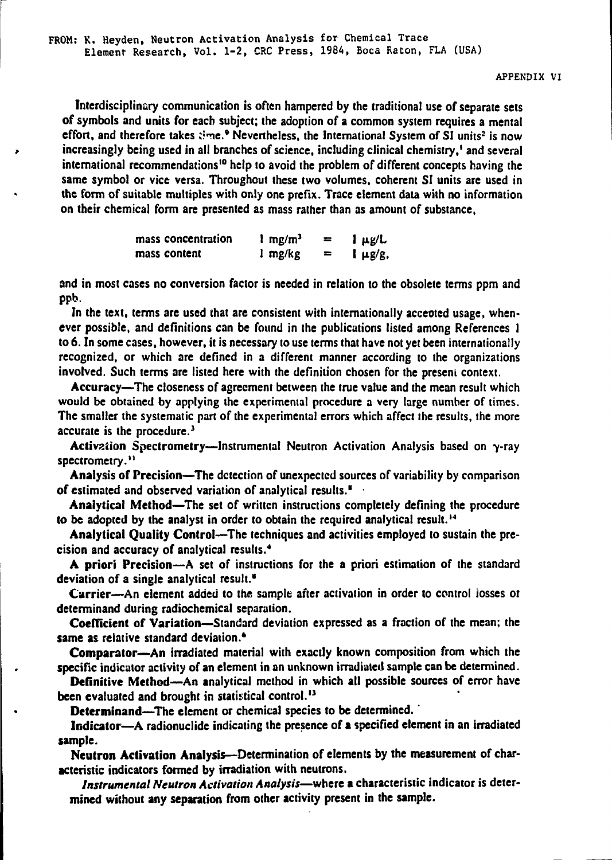Interdisciplinary communication is often hampered by the traditional use of separate sets of symbols and units for each subject; the adoption of a common system requires a mental effort, and therefore takes  $time$ .<sup>9</sup> Nevertheless, the International System of SI units<sup>2</sup> is now increasingly being used in all branches of science, including clinical chemistry,' and several international recommendations<sup>10</sup> help to avoid the problem of different concepts having the same symbol or vice versa. Throughout these two volumes, coherent SI units are used in the form of suitable multiples with only one prefix. Trace element data with no information on their chemical form are presented as mass rather than as amount of substance,

| mass concentration | $1 \text{ mg/m}^3$ | =   | $1 \mu g/L$ |
|--------------------|--------------------|-----|-------------|
| mass content       | 1 mg/kg            | $=$ | $\mu$ g/g,  |

and in most cases no conversion factor is needed in relation to the obsolete terms ppm and ppb.

In the text, terms are used that are consistent with internationally accented usage, whenever possible, and definitions can be found in the publications listed among References I to 6. In some cases, however, it is necessary to use terms that have not yet been internationally recognized, or which are defined in a different manner according to the organizations involved. Such terms are listed here with the definition chosen for the present context.

Accuracy—The closeness of agreement between the true value and the mean result which would be obtained by applying the experimental procedure a very large number of times. The smaller the systematic part of the experimental errors which affect the results, the more accurate is the procedure.<sup>3</sup>

Activation Spectrometry—Instrumental Neutron Activation Analysis based on  $\gamma$ -ray spectrometry."

Analysis of Precision—The detection of unexpected sources of variability by comparison of estimated and observed variation of analytical results."

Analytical Method—The set of written instructions completely defining the procedure to be adopted by the analyst in order to obtain the required analytical result.<sup>14</sup>

Analytical Quality Control—The techniques and activities employed to sustain the precision and accuracy of analytical results.<sup>4</sup>

A priori Precision—A set of instructions for the a priori estimation of the standard deviation of a single analytical result.\*

Carrier—An element added to the sample after activation in order to control losses of determinand during radiochemical separation.

Coefficient of Variation—Standard deviation expressed as a fraction of the mean; the same as relative standard deviation.<sup>4</sup>

**Comparator**—An irradiated material with exactly known composition from which the specific indicator activity of an element in an unknown irradiated sample can be determined.

Definitive Method—An analytical method in which all possible sources of error have **been** evaluated and brought in statistical control.<sup>13</sup>

**Determinand—**The element or chemical species to be determined.

Indicator—A radionuclide indicating the presence of a specified element in an irradiated sample.

**Neutron** Activation Analysis—Determination of elements by the measurement of characteristic indicators formed by irradiation with neutrons.

*Instrumental Neutron Activation Analysis*—where a characteristic indicator is determined without any separation from other activity present in the sample.